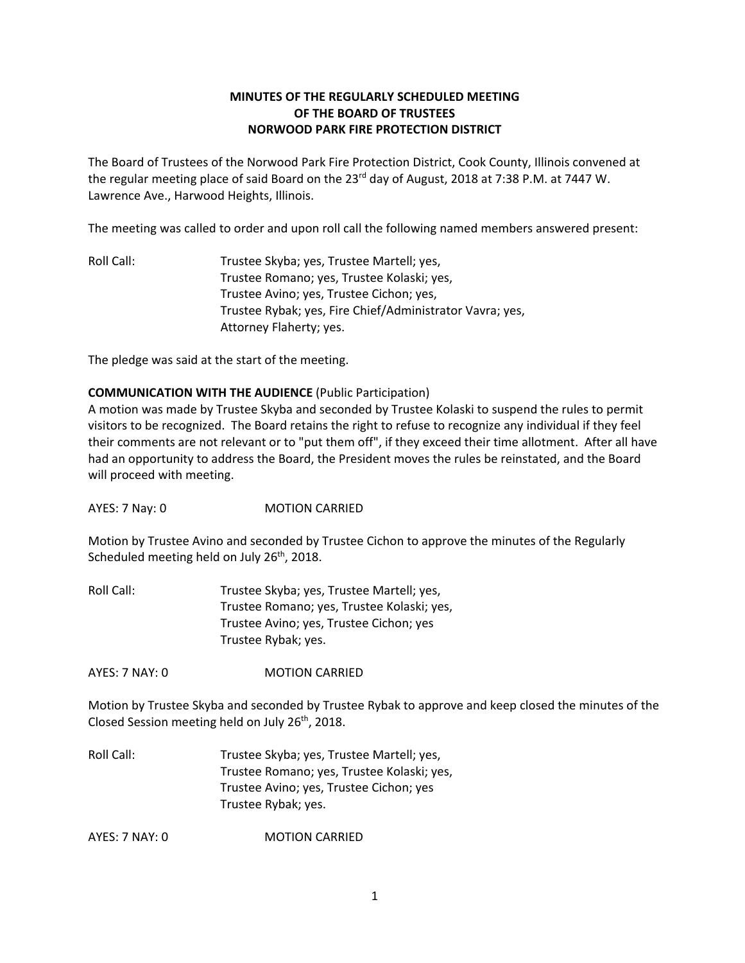# **MINUTES OF THE REGULARLY SCHEDULED MEETING OF THE BOARD OF TRUSTEES NORWOOD PARK FIRE PROTECTION DISTRICT**

The Board of Trustees of the Norwood Park Fire Protection District, Cook County, Illinois convened at the regular meeting place of said Board on the 23<sup>rd</sup> day of August, 2018 at 7:38 P.M. at 7447 W. Lawrence Ave., Harwood Heights, Illinois.

The meeting was called to order and upon roll call the following named members answered present:

Roll Call: Trustee Skyba; yes, Trustee Martell; yes, Trustee Romano; yes, Trustee Kolaski; yes, Trustee Avino; yes, Trustee Cichon; yes, Trustee Rybak; yes, Fire Chief/Administrator Vavra; yes, Attorney Flaherty; yes.

The pledge was said at the start of the meeting.

### **COMMUNICATION WITH THE AUDIENCE** (Public Participation)

A motion was made by Trustee Skyba and seconded by Trustee Kolaski to suspend the rules to permit visitors to be recognized. The Board retains the right to refuse to recognize any individual if they feel their comments are not relevant or to "put them off", if they exceed their time allotment. After all have had an opportunity to address the Board, the President moves the rules be reinstated, and the Board will proceed with meeting.

AYES: 7 Nay: 0 MOTION CARRIED

Motion by Trustee Avino and seconded by Trustee Cichon to approve the minutes of the Regularly Scheduled meeting held on July 26<sup>th</sup>, 2018.

Roll Call: Trustee Skyba; yes, Trustee Martell; yes, Trustee Romano; yes, Trustee Kolaski; yes, Trustee Avino; yes, Trustee Cichon; yes Trustee Rybak; yes.

AYES: 7 NAY: 0 MOTION CARRIED

Motion by Trustee Skyba and seconded by Trustee Rybak to approve and keep closed the minutes of the Closed Session meeting held on July 26<sup>th</sup>, 2018.

Roll Call: Trustee Skyba; yes, Trustee Martell; yes, Trustee Romano; yes, Trustee Kolaski; yes, Trustee Avino; yes, Trustee Cichon; yes Trustee Rybak; yes.

AYES: 7 NAY: 0 MOTION CARRIED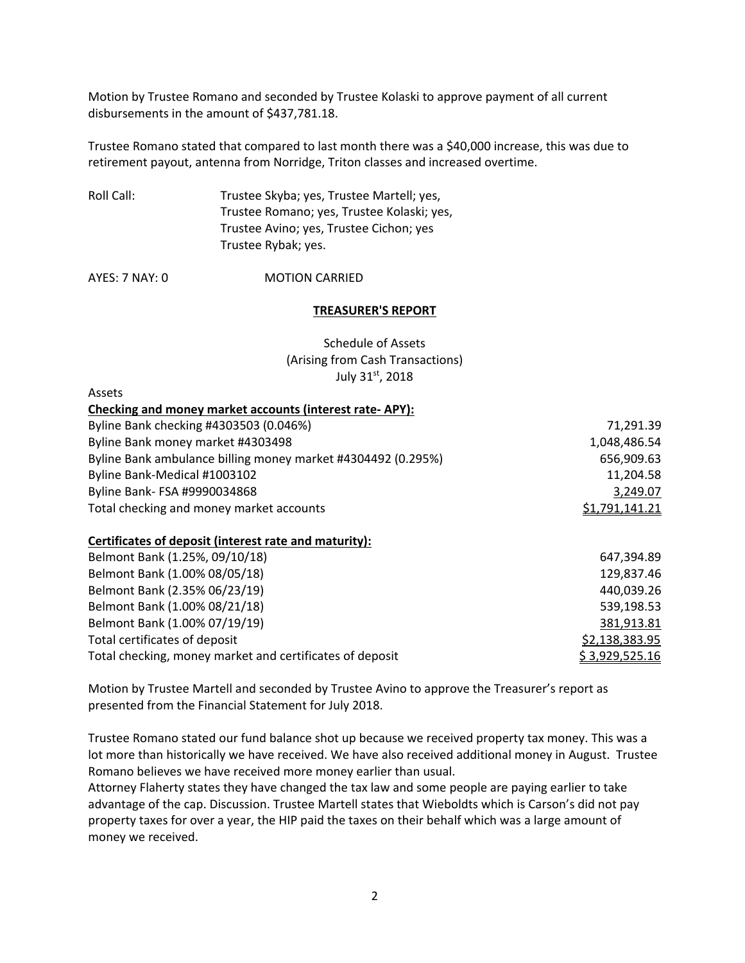Motion by Trustee Romano and seconded by Trustee Kolaski to approve payment of all current disbursements in the amount of \$437,781.18.

Trustee Romano stated that compared to last month there was a \$40,000 increase, this was due to retirement payout, antenna from Norridge, Triton classes and increased overtime.

Roll Call: Trustee Skyba; yes, Trustee Martell; yes, Trustee Romano; yes, Trustee Kolaski; yes, Trustee Avino; yes, Trustee Cichon; yes Trustee Rybak; yes.

AYES: 7 NAY: 0 MOTION CARRIED

#### **TREASURER'S REPORT**

Schedule of Assets (Arising from Cash Transactions) July 31st, 2018

| Assets                                                       |                |
|--------------------------------------------------------------|----------------|
| Checking and money market accounts (interest rate-APY):      |                |
| Byline Bank checking #4303503 (0.046%)                       | 71,291.39      |
| Byline Bank money market #4303498                            | 1,048,486.54   |
| Byline Bank ambulance billing money market #4304492 (0.295%) | 656,909.63     |
| Byline Bank-Medical #1003102                                 | 11,204.58      |
| Byline Bank- FSA #9990034868                                 | 3,249.07       |
| Total checking and money market accounts                     | \$1,791,141.21 |

### **Certificates of deposit (interest rate and maturity):**

| Belmont Bank (1.25%, 09/10/18)                           | 647.394.89     |
|----------------------------------------------------------|----------------|
| Belmont Bank (1.00% 08/05/18)                            | 129,837.46     |
| Belmont Bank (2.35% 06/23/19)                            | 440,039.26     |
| Belmont Bank (1.00% 08/21/18)                            | 539,198.53     |
| Belmont Bank (1.00% 07/19/19)                            | 381,913.81     |
| Total certificates of deposit                            | \$2,138,383.95 |
| Total checking, money market and certificates of deposit | \$3,929,525.16 |

Motion by Trustee Martell and seconded by Trustee Avino to approve the Treasurer's report as presented from the Financial Statement for July 2018.

Trustee Romano stated our fund balance shot up because we received property tax money. This was a lot more than historically we have received. We have also received additional money in August. Trustee Romano believes we have received more money earlier than usual.

Attorney Flaherty states they have changed the tax law and some people are paying earlier to take advantage of the cap. Discussion. Trustee Martell states that Wieboldts which is Carson's did not pay property taxes for over a year, the HIP paid the taxes on their behalf which was a large amount of money we received.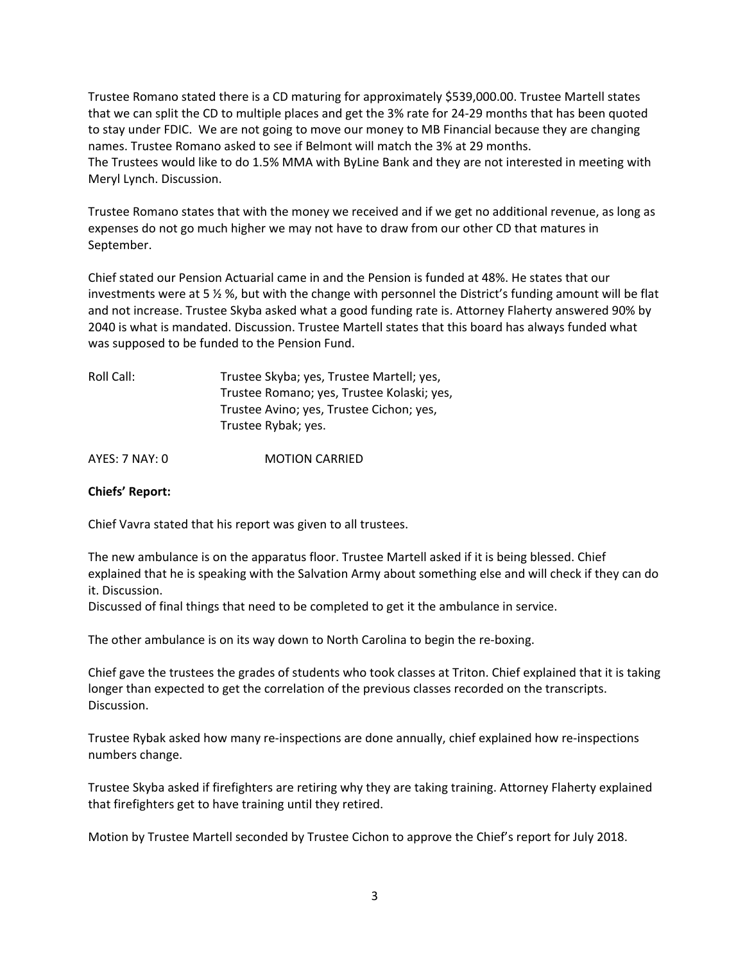Trustee Romano stated there is a CD maturing for approximately \$539,000.00. Trustee Martell states that we can split the CD to multiple places and get the 3% rate for 24-29 months that has been quoted to stay under FDIC. We are not going to move our money to MB Financial because they are changing names. Trustee Romano asked to see if Belmont will match the 3% at 29 months. The Trustees would like to do 1.5% MMA with ByLine Bank and they are not interested in meeting with Meryl Lynch. Discussion.

Trustee Romano states that with the money we received and if we get no additional revenue, as long as expenses do not go much higher we may not have to draw from our other CD that matures in September.

Chief stated our Pension Actuarial came in and the Pension is funded at 48%. He states that our investments were at 5 ½ %, but with the change with personnel the District's funding amount will be flat and not increase. Trustee Skyba asked what a good funding rate is. Attorney Flaherty answered 90% by 2040 is what is mandated. Discussion. Trustee Martell states that this board has always funded what was supposed to be funded to the Pension Fund.

| Roll Call: | Trustee Skyba; yes, Trustee Martell; yes,  |
|------------|--------------------------------------------|
|            | Trustee Romano; yes, Trustee Kolaski; yes, |
|            | Trustee Avino; yes, Trustee Cichon; yes,   |
|            | Trustee Rybak; yes.                        |
|            |                                            |

AYES: 7 NAY: 0 **MOTION CARRIED** 

## **Chiefs' Report:**

Chief Vavra stated that his report was given to all trustees.

The new ambulance is on the apparatus floor. Trustee Martell asked if it is being blessed. Chief explained that he is speaking with the Salvation Army about something else and will check if they can do it. Discussion.

Discussed of final things that need to be completed to get it the ambulance in service.

The other ambulance is on its way down to North Carolina to begin the re-boxing.

Chief gave the trustees the grades of students who took classes at Triton. Chief explained that it is taking longer than expected to get the correlation of the previous classes recorded on the transcripts. Discussion.

Trustee Rybak asked how many re-inspections are done annually, chief explained how re-inspections numbers change.

Trustee Skyba asked if firefighters are retiring why they are taking training. Attorney Flaherty explained that firefighters get to have training until they retired.

Motion by Trustee Martell seconded by Trustee Cichon to approve the Chief's report for July 2018.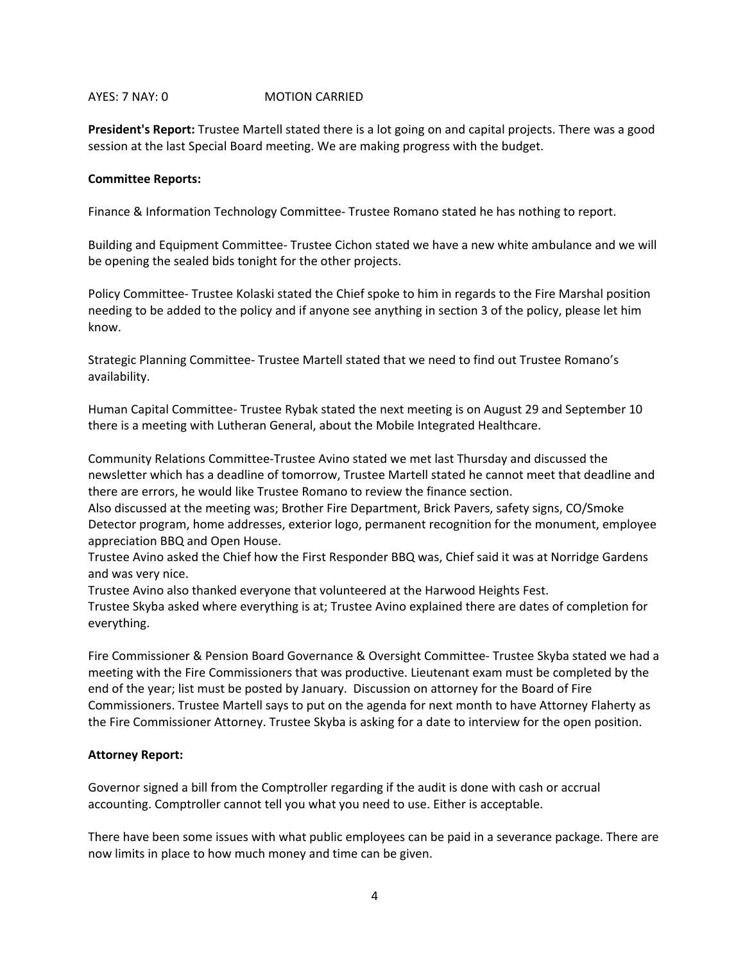### AYES: 7 NAY: 0 MOTION CARRIED

**President's Report:** Trustee Martell stated there is a lot going on and capital projects. There was a good session at the last Special Board meeting. We are making progress with the budget.

### **Committee Reports:**

Finance & Information Technology Committee- Trustee Romano stated he has nothing to report.

Building and Equipment Committee- Trustee Cichon stated we have a new white ambulance and we will be opening the sealed bids tonight for the other projects.

Policy Committee- Trustee Kolaski stated the Chief spoke to him in regards to the Fire Marshal position needing to be added to the policy and if anyone see anything in section 3 of the policy, please let him know.

Strategic Planning Committee- Trustee Martell stated that we need to find out Trustee Romano's availability.

Human Capital Committee- Trustee Rybak stated the next meeting is on August 29 and September 10 there is a meeting with Lutheran General, about the Mobile Integrated Healthcare.

Community Relations Committee-Trustee Avino stated we met last Thursday and discussed the newsletter which has a deadline of tomorrow, Trustee Martell stated he cannot meet that deadline and there are errors, he would like Trustee Romano to review the finance section.

Also discussed at the meeting was; Brother Fire Department, Brick Pavers, safety signs, CO/Smoke Detector program, home addresses, exterior logo, permanent recognition for the monument, employee appreciation BBQ and Open House.

Trustee Avino asked the Chief how the First Responder BBQ was, Chief said it was at Norridge Gardens and was very nice.

Trustee Avino also thanked everyone that volunteered at the Harwood Heights Fest.

Trustee Skyba asked where everything is at; Trustee Avino explained there are dates of completion for everything.

Fire Commissioner & Pension Board Governance & Oversight Committee- Trustee Skyba stated we had a meeting with the Fire Commissioners that was productive. Lieutenant exam must be completed by the end of the year; list must be posted by January. Discussion on attorney for the Board of Fire Commissioners. Trustee Martell says to put on the agenda for next month to have Attorney Flaherty as the Fire Commissioner Attorney. Trustee Skyba is asking for a date to interview for the open position.

## **Attorney Report:**

Governor signed a bill from the Comptroller regarding if the audit is done with cash or accrual accounting. Comptroller cannot tell you what you need to use. Either is acceptable.

There have been some issues with what public employees can be paid in a severance package. There are now limits in place to how much money and time can be given.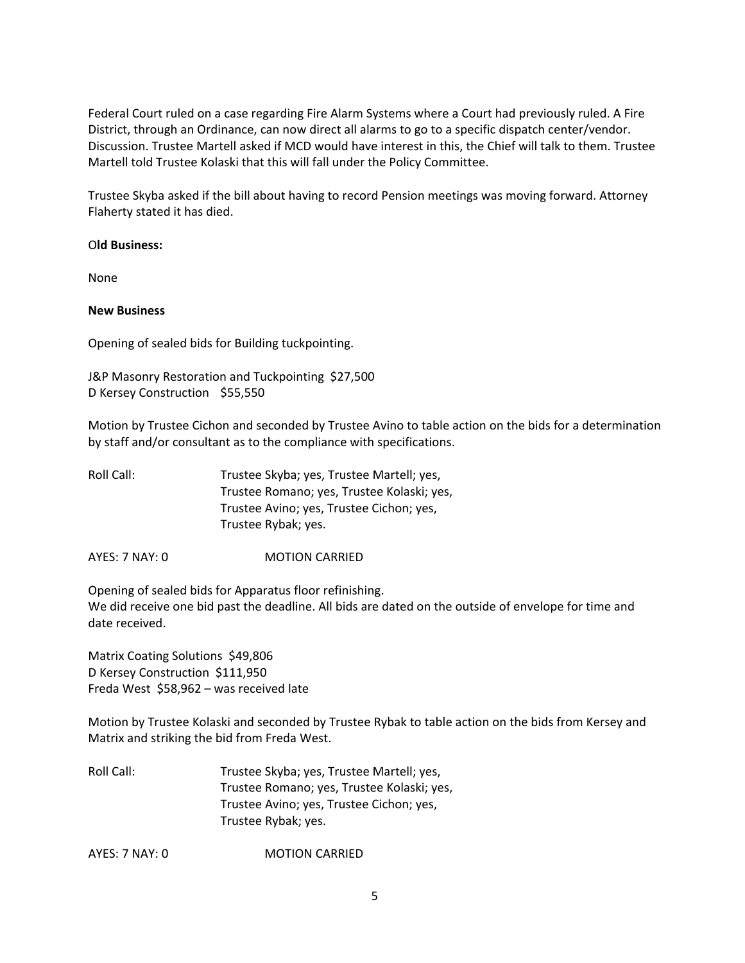Federal Court ruled on a case regarding Fire Alarm Systems where a Court had previously ruled. A Fire District, through an Ordinance, can now direct all alarms to go to a specific dispatch center/vendor. Discussion. Trustee Martell asked if MCD would have interest in this, the Chief will talk to them. Trustee Martell told Trustee Kolaski that this will fall under the Policy Committee.

Trustee Skyba asked if the bill about having to record Pension meetings was moving forward. Attorney Flaherty stated it has died.

O**ld Business:** 

None

**New Business**

Opening of sealed bids for Building tuckpointing.

J&P Masonry Restoration and Tuckpointing \$27,500 D Kersey Construction \$55,550

Motion by Trustee Cichon and seconded by Trustee Avino to table action on the bids for a determination by staff and/or consultant as to the compliance with specifications.

| Roll Call: | Trustee Skyba; yes, Trustee Martell; yes,  |
|------------|--------------------------------------------|
|            | Trustee Romano; yes, Trustee Kolaski; yes, |
|            | Trustee Avino; yes, Trustee Cichon; yes,   |
|            | Trustee Rybak; yes.                        |
|            |                                            |

AYES: 7 NAY: 0 MOTION CARRIED

Opening of sealed bids for Apparatus floor refinishing. We did receive one bid past the deadline. All bids are dated on the outside of envelope for time and date received.

Matrix Coating Solutions \$49,806 D Kersey Construction \$111,950 Freda West \$58,962 – was received late

Motion by Trustee Kolaski and seconded by Trustee Rybak to table action on the bids from Kersey and Matrix and striking the bid from Freda West.

Roll Call: Trustee Skyba; yes, Trustee Martell; yes, Trustee Romano; yes, Trustee Kolaski; yes, Trustee Avino; yes, Trustee Cichon; yes, Trustee Rybak; yes.

AYES: 7 NAY: 0 MOTION CARRIED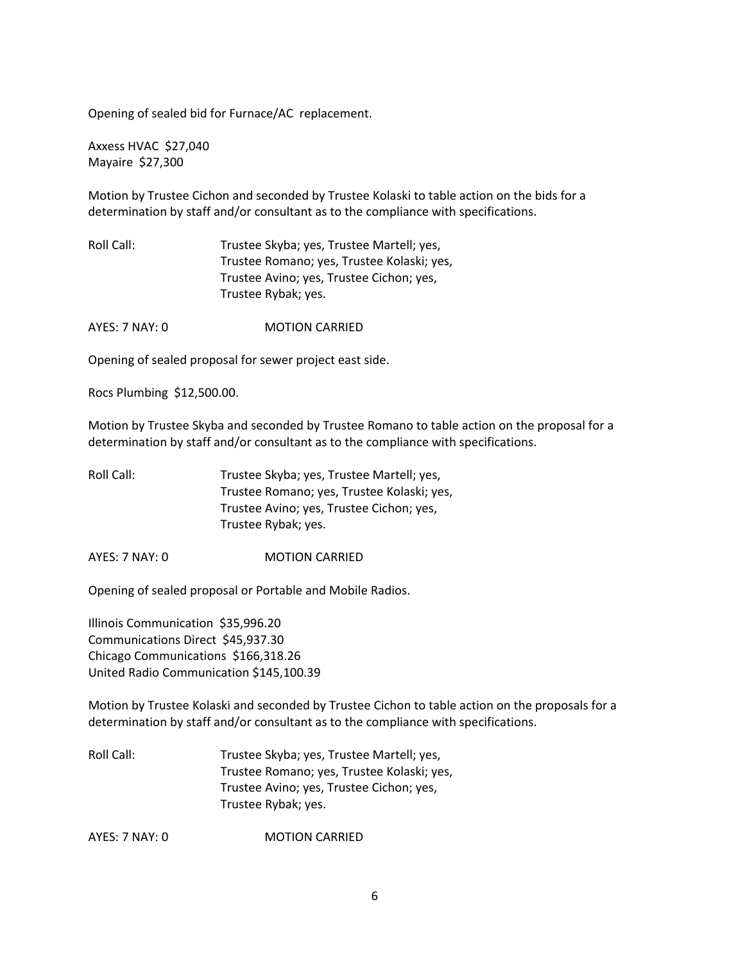Opening of sealed bid for Furnace/AC replacement.

Axxess HVAC \$27,040 Mayaire \$27,300

Motion by Trustee Cichon and seconded by Trustee Kolaski to table action on the bids for a determination by staff and/or consultant as to the compliance with specifications.

Roll Call: Trustee Skyba; yes, Trustee Martell; yes, Trustee Romano; yes, Trustee Kolaski; yes, Trustee Avino; yes, Trustee Cichon; yes, Trustee Rybak; yes.

AYES: 7 NAY: 0 **MOTION CARRIED** 

Opening of sealed proposal for sewer project east side.

Rocs Plumbing \$12,500.00.

Motion by Trustee Skyba and seconded by Trustee Romano to table action on the proposal for a determination by staff and/or consultant as to the compliance with specifications.

Roll Call: Trustee Skyba; yes, Trustee Martell; yes, Trustee Romano; yes, Trustee Kolaski; yes, Trustee Avino; yes, Trustee Cichon; yes, Trustee Rybak; yes.

AYES: 7 NAY: 0 MOTION CARRIED

Opening of sealed proposal or Portable and Mobile Radios.

Illinois Communication \$35,996.20 Communications Direct \$45,937.30 Chicago Communications \$166,318.26 United Radio Communication \$145,100.39

Motion by Trustee Kolaski and seconded by Trustee Cichon to table action on the proposals for a determination by staff and/or consultant as to the compliance with specifications.

Roll Call: Trustee Skyba; yes, Trustee Martell; yes, Trustee Romano; yes, Trustee Kolaski; yes, Trustee Avino; yes, Trustee Cichon; yes, Trustee Rybak; yes.

AYES: 7 NAY: 0 MOTION CARRIED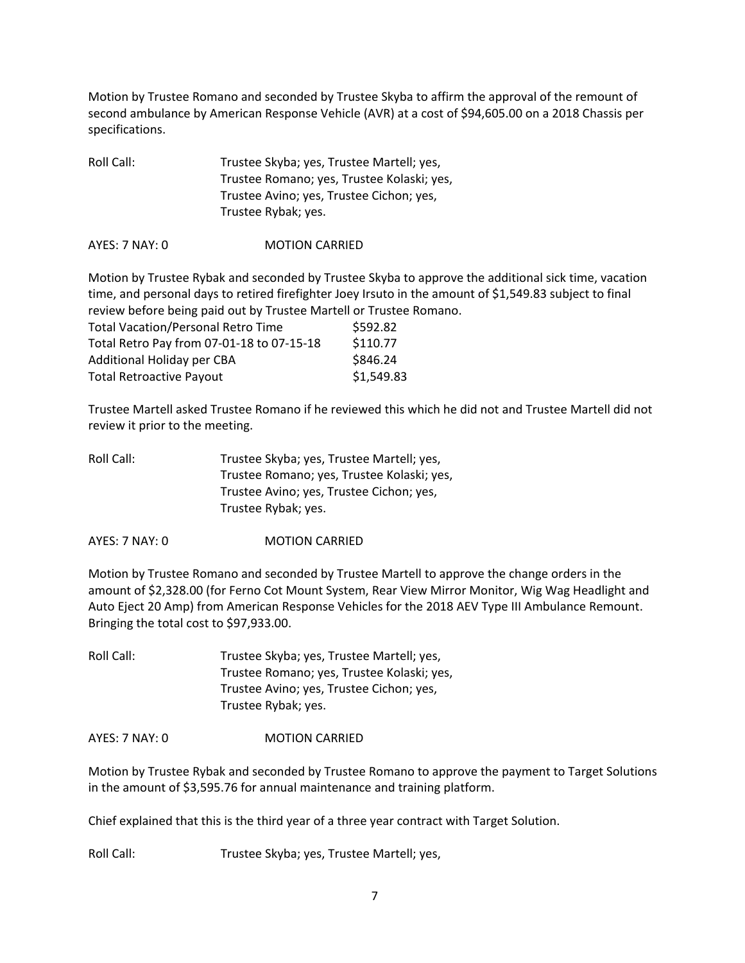Motion by Trustee Romano and seconded by Trustee Skyba to affirm the approval of the remount of second ambulance by American Response Vehicle (AVR) at a cost of \$94,605.00 on a 2018 Chassis per specifications.

| Roll Call: | Trustee Skyba; yes, Trustee Martell; yes,  |
|------------|--------------------------------------------|
|            | Trustee Romano; yes, Trustee Kolaski; yes, |
|            | Trustee Avino; yes, Trustee Cichon; yes,   |
|            | Trustee Rybak; yes.                        |

AYES: 7 NAY: 0 MOTION CARRIED

Motion by Trustee Rybak and seconded by Trustee Skyba to approve the additional sick time, vacation time, and personal days to retired firefighter Joey Irsuto in the amount of \$1,549.83 subject to final review before being paid out by Trustee Martell or Trustee Romano.

| <b>Total Vacation/Personal Retro Time</b> | \$592.82   |
|-------------------------------------------|------------|
| Total Retro Pay from 07-01-18 to 07-15-18 | \$110.77   |
| Additional Holiday per CBA                | \$846.24   |
| <b>Total Retroactive Payout</b>           | \$1,549.83 |

Trustee Martell asked Trustee Romano if he reviewed this which he did not and Trustee Martell did not review it prior to the meeting.

| Roll Call: | Trustee Skyba; yes, Trustee Martell; yes,  |
|------------|--------------------------------------------|
|            | Trustee Romano; yes, Trustee Kolaski; yes, |
|            | Trustee Avino; yes, Trustee Cichon; yes,   |
|            | Trustee Rybak; yes.                        |
|            |                                            |

AYES: 7 NAY: 0 MOTION CARRIED

Motion by Trustee Romano and seconded by Trustee Martell to approve the change orders in the amount of \$2,328.00 (for Ferno Cot Mount System, Rear View Mirror Monitor, Wig Wag Headlight and Auto Eject 20 Amp) from American Response Vehicles for the 2018 AEV Type III Ambulance Remount. Bringing the total cost to \$97,933.00.

Roll Call: Trustee Skyba; yes, Trustee Martell; yes, Trustee Romano; yes, Trustee Kolaski; yes, Trustee Avino; yes, Trustee Cichon; yes, Trustee Rybak; yes.

AYES: 7 NAY: 0 MOTION CARRIED

Motion by Trustee Rybak and seconded by Trustee Romano to approve the payment to Target Solutions in the amount of \$3,595.76 for annual maintenance and training platform.

Chief explained that this is the third year of a three year contract with Target Solution.

Roll Call: Trustee Skyba; yes, Trustee Martell; yes,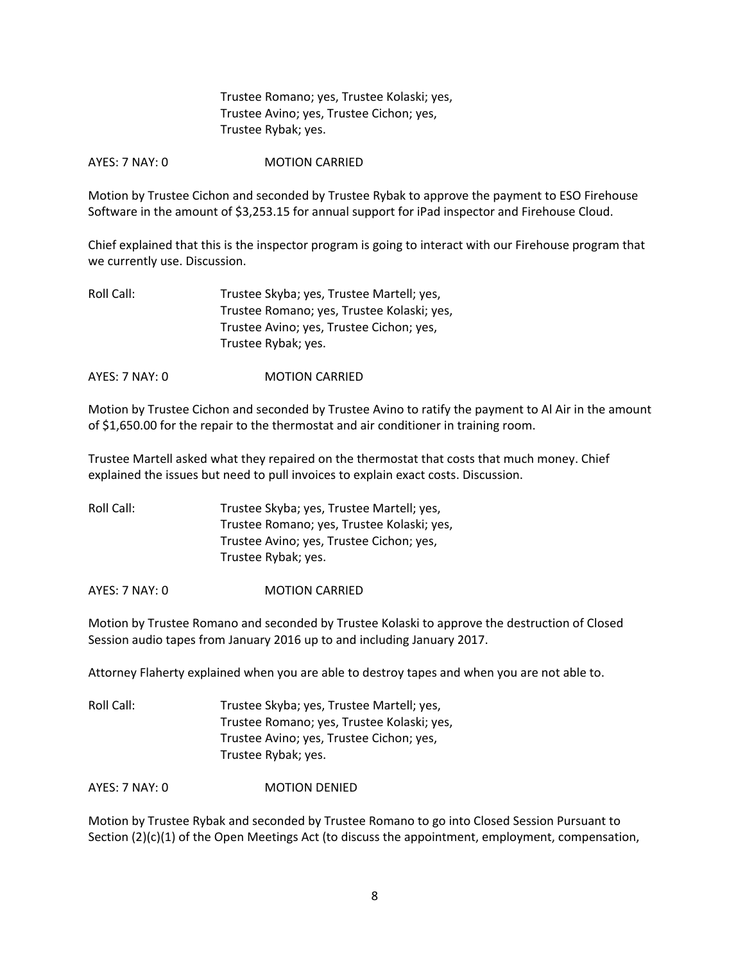Trustee Romano; yes, Trustee Kolaski; yes, Trustee Avino; yes, Trustee Cichon; yes, Trustee Rybak; yes.

AYES: 7 NAY: 0 **MOTION CARRIED** 

Motion by Trustee Cichon and seconded by Trustee Rybak to approve the payment to ESO Firehouse Software in the amount of \$3,253.15 for annual support for iPad inspector and Firehouse Cloud.

Chief explained that this is the inspector program is going to interact with our Firehouse program that we currently use. Discussion.

| Roll Call: | Trustee Skyba; yes, Trustee Martell; yes,  |
|------------|--------------------------------------------|
|            | Trustee Romano; yes, Trustee Kolaski; yes, |
|            | Trustee Avino; yes, Trustee Cichon; yes,   |
|            | Trustee Rybak; yes.                        |
|            |                                            |

AYES: 7 NAY: 0 MOTION CARRIED

Motion by Trustee Cichon and seconded by Trustee Avino to ratify the payment to Al Air in the amount of \$1,650.00 for the repair to the thermostat and air conditioner in training room.

Trustee Martell asked what they repaired on the thermostat that costs that much money. Chief explained the issues but need to pull invoices to explain exact costs. Discussion.

Roll Call: Trustee Skyba; yes, Trustee Martell; yes, Trustee Romano; yes, Trustee Kolaski; yes, Trustee Avino; yes, Trustee Cichon; yes, Trustee Rybak; yes.

AYES: 7 NAY: 0 MOTION CARRIED

Motion by Trustee Romano and seconded by Trustee Kolaski to approve the destruction of Closed Session audio tapes from January 2016 up to and including January 2017.

Attorney Flaherty explained when you are able to destroy tapes and when you are not able to.

| Roll Call: | Trustee Skyba; yes, Trustee Martell; yes,  |
|------------|--------------------------------------------|
|            | Trustee Romano; yes, Trustee Kolaski; yes, |
|            | Trustee Avino; yes, Trustee Cichon; yes,   |
|            | Trustee Rybak; yes.                        |

AYES: 7 NAY: 0 MOTION DENIED

Motion by Trustee Rybak and seconded by Trustee Romano to go into Closed Session Pursuant to Section (2)(c)(1) of the Open Meetings Act (to discuss the appointment, employment, compensation,